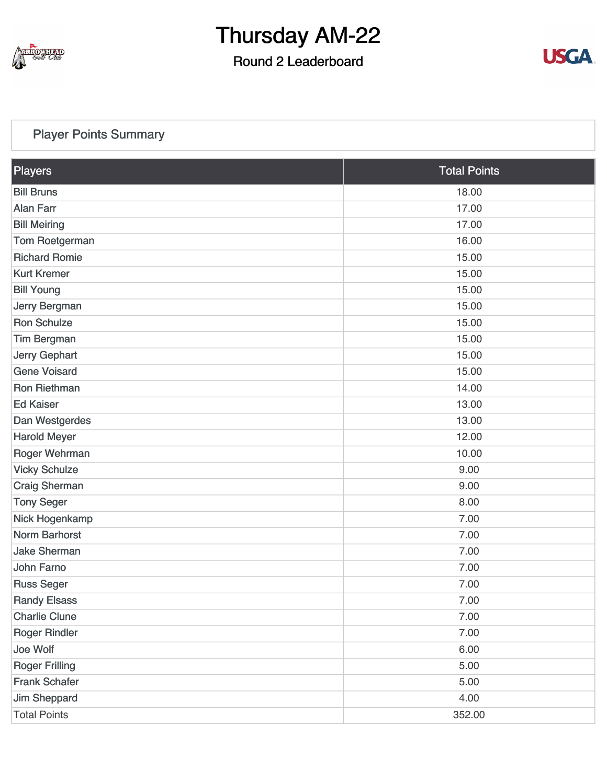

### Round 2 Leaderboard



#### [Player Points Summary](https://static.golfgenius.com/v2tournaments/total_points?league_id=8234394788888061414&round_id=8404776542630061441)

| Players               | <b>Total Points</b> |
|-----------------------|---------------------|
| <b>Bill Bruns</b>     | 18.00               |
| <b>Alan Farr</b>      | 17.00               |
| <b>Bill Meiring</b>   | 17.00               |
| Tom Roetgerman        | 16.00               |
| <b>Richard Romie</b>  | 15.00               |
| <b>Kurt Kremer</b>    | 15.00               |
| <b>Bill Young</b>     | 15.00               |
| Jerry Bergman         | 15.00               |
| <b>Ron Schulze</b>    | 15.00               |
| <b>Tim Bergman</b>    | 15.00               |
| <b>Jerry Gephart</b>  | 15.00               |
| <b>Gene Voisard</b>   | 15.00               |
| Ron Riethman          | 14.00               |
| <b>Ed Kaiser</b>      | 13.00               |
| Dan Westgerdes        | 13.00               |
| <b>Harold Meyer</b>   | 12.00               |
| Roger Wehrman         | 10.00               |
| <b>Vicky Schulze</b>  | 9.00                |
| <b>Craig Sherman</b>  | 9.00                |
| <b>Tony Seger</b>     | 8.00                |
| Nick Hogenkamp        | 7.00                |
| <b>Norm Barhorst</b>  | 7.00                |
| <b>Jake Sherman</b>   | 7.00                |
| <b>John Farno</b>     | 7.00                |
| <b>Russ Seger</b>     | 7.00                |
| <b>Randy Elsass</b>   | 7.00                |
| <b>Charlie Clune</b>  | 7.00                |
| <b>Roger Rindler</b>  | 7.00                |
| Joe Wolf              | 6.00                |
| <b>Roger Frilling</b> | 5.00                |
| <b>Frank Schafer</b>  | 5.00                |
| Jim Sheppard          | 4.00                |
| <b>Total Points</b>   | 352.00              |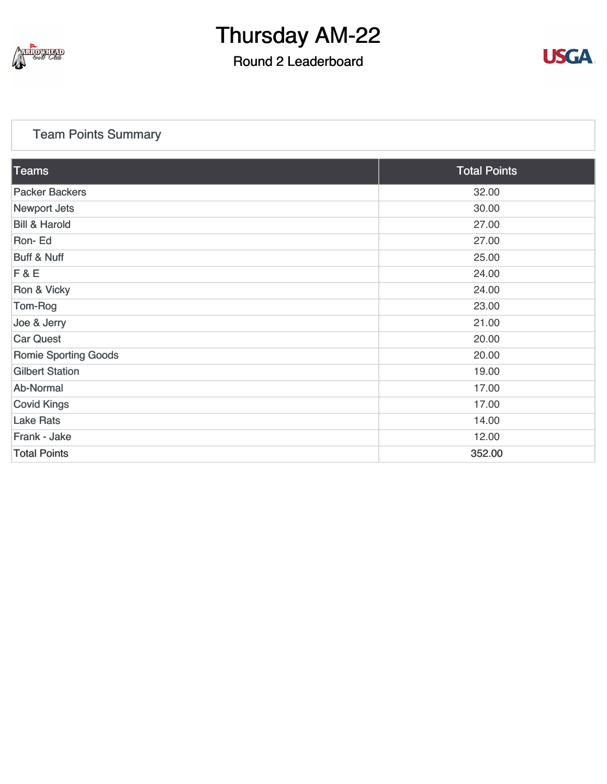

### Round 2 Leaderboard



#### [Team Points Summary](https://static.golfgenius.com/v2tournaments/team_points?league_id=8234394788888061414&round_id=8404776542630061441)

| $\overline{\textrm{Teams}}$ | <b>Total Points</b> |
|-----------------------------|---------------------|
| <b>Packer Backers</b>       | 32.00               |
| <b>Newport Jets</b>         | 30.00               |
| <b>Bill &amp; Harold</b>    | 27.00               |
| Ron-Ed                      | 27.00               |
| <b>Buff &amp; Nuff</b>      | 25.00               |
| F & E                       | 24.00               |
| Ron & Vicky                 | 24.00               |
| Tom-Rog                     | 23.00               |
| Joe & Jerry                 | 21.00               |
| <b>Car Quest</b>            | 20.00               |
| <b>Romie Sporting Goods</b> | 20.00               |
| <b>Gilbert Station</b>      | 19.00               |
| Ab-Normal                   | 17.00               |
| <b>Covid Kings</b>          | 17.00               |
| <b>Lake Rats</b>            | 14.00               |
| Frank - Jake                | 12.00               |
| <b>Total Points</b>         | 352.00              |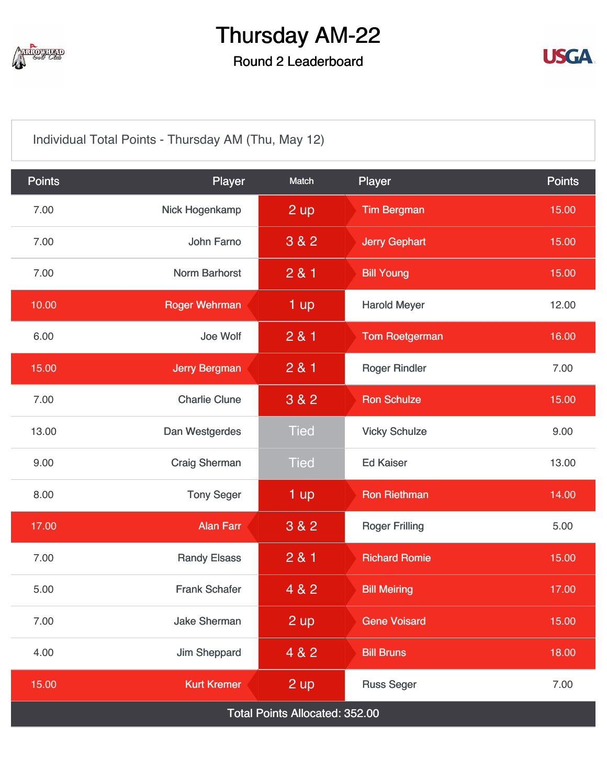

### Round 2 Leaderboard



[Individual Total Points - Thursday AM \(Thu, May 12\)](https://static.golfgenius.com/v2tournaments/8404776871362831640?called_from=&round_index=2)

| <b>Points</b>                         | Player               | Match       | Player                | <b>Points</b> |  |  |
|---------------------------------------|----------------------|-------------|-----------------------|---------------|--|--|
| 7.00                                  | Nick Hogenkamp       | 2 up        | <b>Tim Bergman</b>    | 15.00         |  |  |
| 7.00                                  | John Farno           | 3 & 2       | <b>Jerry Gephart</b>  | 15.00         |  |  |
| 7.00                                  | <b>Norm Barhorst</b> | 281         | <b>Bill Young</b>     | 15.00         |  |  |
| 10.00                                 | <b>Roger Wehrman</b> | 1 up        | <b>Harold Meyer</b>   | 12.00         |  |  |
| 6.00                                  | Joe Wolf             | 2 & 1       | <b>Tom Roetgerman</b> | 16.00         |  |  |
| 15.00                                 | <b>Jerry Bergman</b> | 281         | <b>Roger Rindler</b>  | 7.00          |  |  |
| 7.00                                  | <b>Charlie Clune</b> | 3 & 2       | <b>Ron Schulze</b>    | 15.00         |  |  |
| 13.00                                 | Dan Westgerdes       | <b>Tied</b> | <b>Vicky Schulze</b>  | 9.00          |  |  |
| 9.00                                  | <b>Craig Sherman</b> | <b>Tied</b> | <b>Ed Kaiser</b>      | 13.00         |  |  |
| 8.00                                  | <b>Tony Seger</b>    | 1 up        | <b>Ron Riethman</b>   | 14.00         |  |  |
| 17.00                                 | <b>Alan Farr</b>     | 3 & 2       | <b>Roger Frilling</b> | 5.00          |  |  |
| 7.00                                  | <b>Randy Elsass</b>  | 2 & 1       | <b>Richard Romie</b>  | 15.00         |  |  |
| 5.00                                  | <b>Frank Schafer</b> | 4 & 2       | <b>Bill Meiring</b>   | 17.00         |  |  |
| 7.00                                  | <b>Jake Sherman</b>  | 2 up        | <b>Gene Voisard</b>   | 15.00         |  |  |
| 4.00                                  | Jim Sheppard         | 4 & 2       | <b>Bill Bruns</b>     | 18.00         |  |  |
| 15.00                                 | <b>Kurt Kremer</b>   | 2 up        | <b>Russ Seger</b>     | 7.00          |  |  |
| <b>Total Points Allocated: 352.00</b> |                      |             |                       |               |  |  |